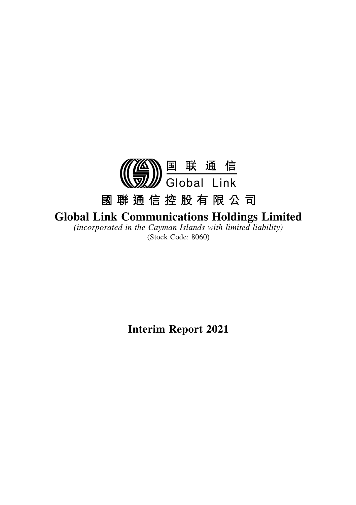

# **Global Link Communications Holdings Limited**

*(incorporated in the Cayman Islands with limited liability)* (Stock Code: 8060)

**Interim Report 2021**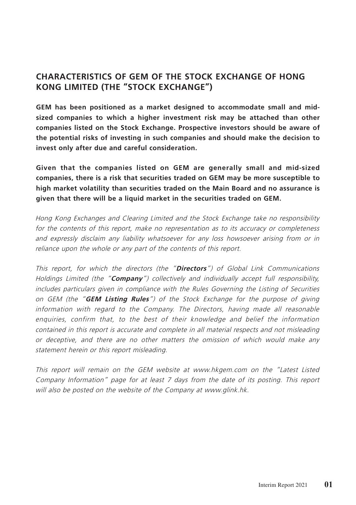## **CHARACTERISTICS OF GEM OF THE STOCK EXCHANGE OF HONG KONG LIMITED (THE "STOCK EXCHANGE")**

**GEM has been positioned as a market designed to accommodate small and midsized companies to which a higher investment risk may be attached than other companies listed on the Stock Exchange. Prospective investors should be aware of the potential risks of investing in such companies and should make the decision to invest only after due and careful consideration.**

**Given that the companies listed on GEM are generally small and mid-sized companies, there is a risk that securities traded on GEM may be more susceptible to high market volatility than securities traded on the Main Board and no assurance is given that there will be a liquid market in the securities traded on GEM.**

Hong Kong Exchanges and Clearing Limited and the Stock Exchange take no responsibility for the contents of this report, make no representation as to its accuracy or completeness and expressly disclaim any liability whatsoever for any loss howsoever arising from or in reliance upon the whole or any part of the contents of this report.

This report, for which the directors (the "**Directors**") of Global Link Communications Holdings Limited (the "**Company**") collectively and individually accept full responsibility, includes particulars given in compliance with the Rules Governing the Listing of Securities on GEM (the "**GEM Listing Rules**") of the Stock Exchange for the purpose of giving information with regard to the Company. The Directors, having made all reasonable enquiries, confirm that, to the best of their knowledge and belief the information contained in this report is accurate and complete in all material respects and not misleading or deceptive, and there are no other matters the omission of which would make any statement herein or this report misleading.

This report will remain on the GEM website at www.hkgem.com on the "Latest Listed Company Information" page for at least 7 days from the date of its posting. This report will also be posted on the website of the Company at www.glink.hk.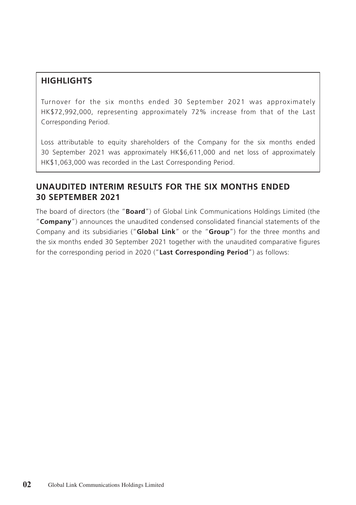## **HIGHLIGHTS**

Turnover for the six months ended 30 September 2021 was approximately HK\$72,992,000, representing approximately 72% increase from that of the Last Corresponding Period.

Loss attributable to equity shareholders of the Company for the six months ended 30 September 2021 was approximately HK\$6,611,000 and net loss of approximately HK\$1,063,000 was recorded in the Last Corresponding Period.

### **UNAUDITED INTERIM RESULTS FOR THE SIX MONTHS ENDED 30 SEPTEMBER 2021**

The board of directors (the "**Board**") of Global Link Communications Holdings Limited (the "**Company**") announces the unaudited condensed consolidated financial statements of the Company and its subsidiaries ("**Global Link**" or the "**Group**") for the three months and the six months ended 30 September 2021 together with the unaudited comparative figures for the corresponding period in 2020 ("**Last Corresponding Period**") as follows: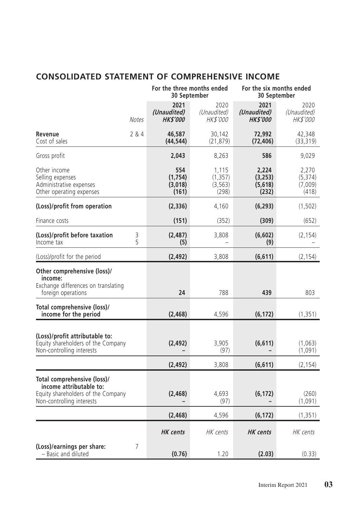# **CONSOLIDATED STATEMENT OF COMPREHENSIVE INCOME**

|                                                                                                                           |        | For the three months ended<br>30 September |                                        | For the six months ended<br>30 September |                                       |  |
|---------------------------------------------------------------------------------------------------------------------------|--------|--------------------------------------------|----------------------------------------|------------------------------------------|---------------------------------------|--|
|                                                                                                                           | Notes  | 2021<br>(Unaudited)<br><b>HK\$'000</b>     | 2020<br>(Unaudited)<br><b>HK\$'000</b> | 2021<br>(Unaudited)<br><b>HKS'000</b>    | 2020<br>(Unaudited)<br>HK\$'000       |  |
| Revenue<br>Cost of sales                                                                                                  | 284    | 46,587<br>(44, 544)                        | 30,142<br>(21, 879)                    | 72,992<br>(72, 406)                      | 42,348<br>(33, 319)                   |  |
| Gross profit                                                                                                              |        | 2,043                                      | 8,263                                  | 586                                      | 9,029                                 |  |
| Other income<br>Selling expenses<br>Administrative expenses<br>Other operating expenses                                   |        | 554<br>(1,754)<br>(3,018)<br>(161)         | 1,115<br>(1, 357)<br>(3, 563)<br>(298) | 2,224<br>(3, 253)<br>(5,618)<br>(232)    | 2,270<br>(5, 374)<br>(7,009)<br>(418) |  |
| (Loss)/profit from operation                                                                                              |        | (2,336)                                    | 4,160                                  | (6, 293)                                 | (1, 502)                              |  |
| Finance costs                                                                                                             |        | (151)                                      | (352)                                  | (309)                                    | (652)                                 |  |
| (Loss)/profit before taxation<br>Income tax                                                                               | 3<br>5 | (2, 487)<br>(5)                            | 3,808                                  | (6, 602)<br>(9)                          | (2, 154)                              |  |
| (Loss)/profit for the period                                                                                              |        | (2, 492)                                   | 3,808                                  | (6, 611)                                 | (2, 154)                              |  |
| Other comprehensive (loss)/<br>income:<br>Exchange differences on translating<br>foreign operations                       |        | 24                                         | 788                                    | 439                                      | 803                                   |  |
| Total comprehensive (loss)/<br>income for the period                                                                      |        | (2, 468)                                   | 4,596                                  | (6, 172)                                 | (1, 351)                              |  |
| (Loss)/profit attributable to:<br>Equity shareholders of the Company<br>Non-controlling interests                         |        | (2, 492)                                   | 3,905<br>(97)                          | (6, 611)                                 | (1,063)<br>(1,091)                    |  |
|                                                                                                                           |        | (2, 492)                                   | 3,808                                  | (6, 611)                                 | (2, 154)                              |  |
| Total comprehensive (loss)/<br>income attributable to:<br>Equity shareholders of the Company<br>Non-controlling interests |        | (2, 468)                                   | 4,693<br>(97)                          | (6, 172)                                 | (260)<br>(1,091)                      |  |
|                                                                                                                           |        | (2, 468)                                   | 4,596                                  | (6, 172)                                 | (1, 351)                              |  |
|                                                                                                                           |        | <b>HK</b> cents                            | HK cents                               | <b>HK</b> cents                          | HK cents                              |  |
| (Loss)/earnings per share:<br>- Basic and diluted                                                                         | 7      | (0.76)                                     | 1.20                                   | (2.03)                                   | (0.33)                                |  |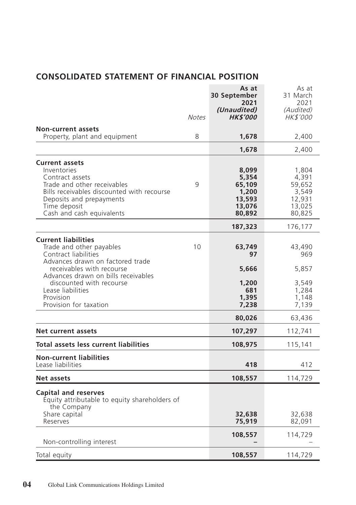# **CONSOLIDATED STATEMENT OF FINANCIAL POSITION**

|                                                                                                                                                                                                               | <b>Notes</b> | As at<br>30 September<br>2021<br>(Unaudited)<br><b>HK\$'000</b> | As at<br>31 March<br>2021<br>(Audited)<br>HK\$'000              |
|---------------------------------------------------------------------------------------------------------------------------------------------------------------------------------------------------------------|--------------|-----------------------------------------------------------------|-----------------------------------------------------------------|
| <b>Non-current assets</b>                                                                                                                                                                                     |              |                                                                 |                                                                 |
| Property, plant and equipment                                                                                                                                                                                 | 8            | 1,678                                                           | 2,400                                                           |
|                                                                                                                                                                                                               |              | 1,678                                                           | 2,400                                                           |
| <b>Current assets</b><br>Inventories<br>Contract assets<br>Trade and other receivables<br>Bills receivables discounted with recourse<br>Deposits and prepayments<br>Time deposit<br>Cash and cash equivalents | 9            | 8,099<br>5,354<br>65,109<br>1,200<br>13,593<br>13,076<br>80,892 | 1,804<br>4,391<br>59,652<br>3,549<br>12,931<br>13,025<br>80,825 |
|                                                                                                                                                                                                               |              | 187,323                                                         | 176,177                                                         |
| <b>Current liabilities</b><br>Trade and other payables<br>Contract liabilities<br>Advances drawn on factored trade<br>receivables with recourse<br>Advances drawn on bills receivables                        | 10           | 63,749<br>97<br>5,666                                           | 43,490<br>969<br>5,857                                          |
| discounted with recourse<br>Lease liabilities<br>Provision<br>Provision for taxation                                                                                                                          |              | 1,200<br>681<br>1,395<br>7,238                                  | 3,549<br>1,284<br>1,148<br>7,139                                |
|                                                                                                                                                                                                               |              | 80,026                                                          | 63,436                                                          |
| <b>Net current assets</b>                                                                                                                                                                                     |              | 107,297                                                         | 112,741                                                         |
| Total assets less current liabilities                                                                                                                                                                         |              | 108,975                                                         | 115,141                                                         |
| <b>Non-current liabilities</b><br>Lease liabilities                                                                                                                                                           |              | 418                                                             | 412                                                             |
| Net assets                                                                                                                                                                                                    |              | 108,557                                                         | 114,729                                                         |
| <b>Capital and reserves</b><br>Equity attributable to equity shareholders of<br>the Company<br>Share capital<br>Reserves                                                                                      |              | 32,638<br>75,919                                                | 32,638<br>82,091                                                |
| Non-controlling interest                                                                                                                                                                                      |              | 108,557                                                         | 114,729                                                         |
| Total equity                                                                                                                                                                                                  |              | 108,557                                                         | 114,729                                                         |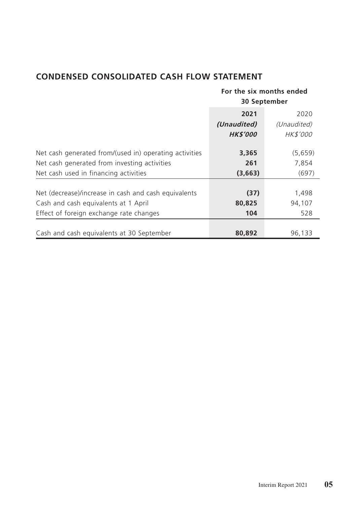# **CONDENSED CONSOLIDATED CASH FLOW STATEMENT**

|                                                                                                                                         |                       | For the six months ended<br>30 September |
|-----------------------------------------------------------------------------------------------------------------------------------------|-----------------------|------------------------------------------|
|                                                                                                                                         | 2021                  | 2020                                     |
|                                                                                                                                         | (Unaudited)           | (Unaudited)                              |
|                                                                                                                                         | <b>HK\$'000</b>       | HK\$'000                                 |
| Net cash generated from/(used in) operating activities                                                                                  | 3,365                 | (5,659)                                  |
| Net cash generated from investing activities                                                                                            | 261                   | 7,854                                    |
| Net cash used in financing activities                                                                                                   | (3,663)               | (697)                                    |
| Net (decrease)/increase in cash and cash equivalents<br>Cash and cash equivalents at 1 April<br>Effect of foreign exchange rate changes | (37)<br>80,825<br>104 | 1,498<br>94,107<br>528                   |
| Cash and cash equivalents at 30 September                                                                                               | 80,892                | 96,133                                   |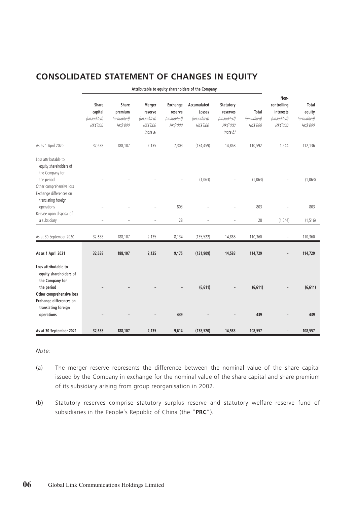## **CONSOLIDATED STATEMENT OF CHANGES IN EQUITY**

|                                                                                                                                                                             |                                                    |                                                    |                                                                 |                                                | Attributable to equity shareholders of the Company      |                                                                     |                                  |                                                                    |                                            |
|-----------------------------------------------------------------------------------------------------------------------------------------------------------------------------|----------------------------------------------------|----------------------------------------------------|-----------------------------------------------------------------|------------------------------------------------|---------------------------------------------------------|---------------------------------------------------------------------|----------------------------------|--------------------------------------------------------------------|--------------------------------------------|
|                                                                                                                                                                             | Share<br>capital<br>(unaudited)<br><b>HK\$'000</b> | Share<br>premium<br>(unaudited)<br><b>HK\$'000</b> | Merger<br>reserve<br>(unaudited)<br><b>HK\$'000</b><br>(note a) | Exchange<br>reserve<br>(unaudited)<br>HK\$'000 | Accumulated<br>Losses<br>(unaudited)<br><b>HK\$'000</b> | Statutory<br>reserves<br>(unaudited)<br><b>HK\$'000</b><br>(note b) | Total<br>(unaudited)<br>HK\$'000 | Non-<br>controlling<br>interests<br>(unaudited)<br><b>HK\$'000</b> | Total<br>equity<br>(unaudited)<br>HK\$'000 |
| As as 1 April 2020                                                                                                                                                          | 32,638                                             | 188,107                                            | 2,135                                                           | 7,303                                          | (134, 459)                                              | 14,868                                                              | 110,592                          | 1,544                                                              | 112,136                                    |
| Loss attributable to<br>equity shareholders of<br>the Company for<br>the period<br>Other comprehensive loss<br>Exchange differences on<br>translating foreign               |                                                    |                                                    |                                                                 |                                                | (1,063)                                                 |                                                                     | (1,063)                          |                                                                    | (1,063)                                    |
| operations                                                                                                                                                                  |                                                    |                                                    |                                                                 | 803                                            |                                                         |                                                                     | 803                              |                                                                    | 803                                        |
| Release upon disposal of<br>a subsidiary                                                                                                                                    | ٠                                                  | $\overline{a}$                                     | $\overline{a}$                                                  | 28                                             | L,                                                      | ÷                                                                   | 28                               | (1, 544)                                                           | (1, 516)                                   |
| As at 30 September 2020                                                                                                                                                     | 32,638                                             | 188,107                                            | 2,135                                                           | 8,134                                          | (135, 522)                                              | 14,868                                                              | 110,360                          | $\overline{\phantom{a}}$                                           | 110,360                                    |
| As as 1 April 2021                                                                                                                                                          | 32,638                                             | 188,107                                            | 2,135                                                           | 9,175                                          | (131, 909)                                              | 14,583                                                              | 114,729                          |                                                                    | 114,729                                    |
| Loss attributable to<br>equity shareholders of<br>the Company for<br>the period<br>Other comprehensive loss<br>Exchange differences on<br>translating foreign<br>operations |                                                    |                                                    |                                                                 | 439                                            | (6,611)                                                 | -                                                                   | (6,611)<br>439                   |                                                                    | (6,611)<br>439                             |
|                                                                                                                                                                             |                                                    |                                                    |                                                                 |                                                |                                                         |                                                                     |                                  |                                                                    |                                            |
| As at 30 September 2021                                                                                                                                                     | 32,638                                             | 188,107                                            | 2,135                                                           | 9,614                                          | (138, 520)                                              | 14,583                                                              | 108,557                          |                                                                    | 108,557                                    |

Note:

- (a) The merger reserve represents the difference between the nominal value of the share capital issued by the Company in exchange for the nominal value of the share capital and share premium of its subsidiary arising from group reorganisation in 2002.
- (b) Statutory reserves comprise statutory surplus reserve and statutory welfare reserve fund of subsidiaries in the People's Republic of China (the "**PRC**").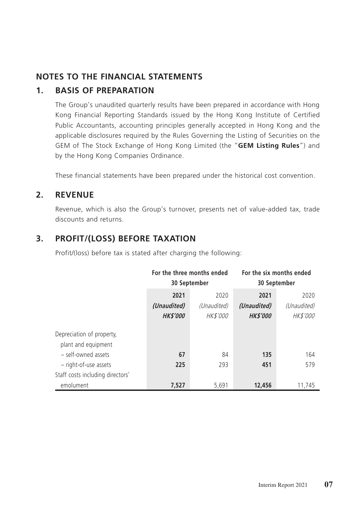## **NOTES TO THE FINANCIAL STATEMENTS**

## **1. BASIS OF PREPARATION**

The Group's unaudited quarterly results have been prepared in accordance with Hong Kong Financial Reporting Standards issued by the Hong Kong Institute of Certified Public Accountants, accounting principles generally accepted in Hong Kong and the applicable disclosures required by the Rules Governing the Listing of Securities on the GEM of The Stock Exchange of Hong Kong Limited (the "**GEM Listing Rules**") and by the Hong Kong Companies Ordinance.

These financial statements have been prepared under the historical cost convention.

### **2. REVENUE**

Revenue, which is also the Group's turnover, presents net of value-added tax, trade discounts and returns.

## **3. PROFIT/(LOSS) BEFORE TAXATION**

Profit/(loss) before tax is stated after charging the following:

|                                                  | For the three months ended<br>30 September |                                        | For the six months ended<br>30 September |                                        |
|--------------------------------------------------|--------------------------------------------|----------------------------------------|------------------------------------------|----------------------------------------|
|                                                  | 2021<br>(Unaudited)<br><b>HK\$'000</b>     | 2020<br>(Unaudited)<br><b>HK\$'000</b> | 2021<br>(Unaudited)<br><b>HK\$'000</b>   | 2020<br>(Unaudited)<br><b>HK\$'000</b> |
| Depreciation of property,<br>plant and equipment |                                            |                                        |                                          |                                        |
| - self-owned assets<br>- right-of-use assets     | 67<br>225                                  | 84<br>293                              | 135<br>451                               | 164<br>579                             |
| Staff costs including directors'<br>emolument    | 7.527                                      | 5.691                                  | 12,456                                   | 11.745                                 |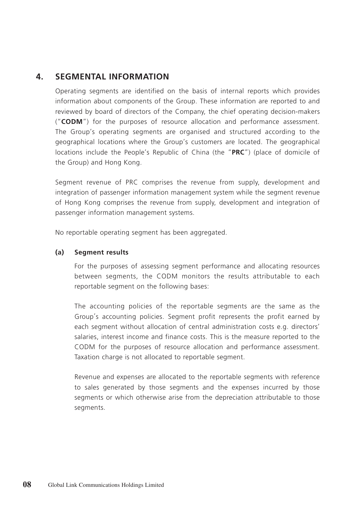## **4. SEGMENTAL INFORMATION**

Operating segments are identified on the basis of internal reports which provides information about components of the Group. These information are reported to and reviewed by board of directors of the Company, the chief operating decision-makers ("**CODM**") for the purposes of resource allocation and performance assessment. The Group's operating segments are organised and structured according to the geographical locations where the Group's customers are located. The geographical locations include the People's Republic of China (the "**PRC**") (place of domicile of the Group) and Hong Kong.

Segment revenue of PRC comprises the revenue from supply, development and integration of passenger information management system while the segment revenue of Hong Kong comprises the revenue from supply, development and integration of passenger information management systems.

No reportable operating segment has been aggregated.

#### **(a) Segment results**

For the purposes of assessing segment performance and allocating resources between segments, the CODM monitors the results attributable to each reportable segment on the following bases:

The accounting policies of the reportable segments are the same as the Group's accounting policies. Segment profit represents the profit earned by each segment without allocation of central administration costs e.g. directors' salaries, interest income and finance costs. This is the measure reported to the CODM for the purposes of resource allocation and performance assessment. Taxation charge is not allocated to reportable segment.

Revenue and expenses are allocated to the reportable segments with reference to sales generated by those segments and the expenses incurred by those segments or which otherwise arise from the depreciation attributable to those segments.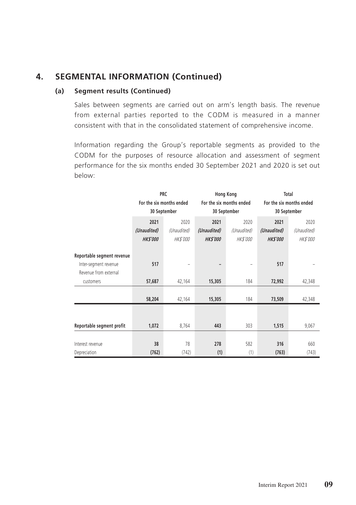## **4. SEGMENTAL INFORMATION (Continued)**

#### **(a) Segment results (Continued)**

Sales between segments are carried out on arm's length basis. The revenue from external parties reported to the CODM is measured in a manner consistent with that in the consolidated statement of comprehensive income.

Information regarding the Group's reportable segments as provided to the CODM for the purposes of resource allocation and assessment of segment performance for the six months ended 30 September 2021 and 2020 is set out below:

|                            |                          | <b>PRC</b>   |                 | <b>Hong Kong</b>         | Total                    |                 |
|----------------------------|--------------------------|--------------|-----------------|--------------------------|--------------------------|-----------------|
|                            | For the six months ended |              |                 | For the six months ended | For the six months ended |                 |
|                            |                          | 30 September |                 | 30 September             | 30 September             |                 |
|                            | 2021                     | 2020         | 2021            | 2020                     | 2021                     | 2020            |
|                            | (Unaudited)              | (Unaudited)  | (Unaudited)     | (Unaudited)              | (Unaudited)              | (Unaudited)     |
|                            | <b>HK\$'000</b>          | HK\$'000     | <b>HK\$'000</b> | HK\$'000                 | <b>HK\$'000</b>          | <b>HK\$'000</b> |
| Reportable segment revenue |                          |              |                 |                          |                          |                 |
| Inter-segment revenue      | 517                      |              | -               |                          | 517                      |                 |
| Revenue from external      |                          |              |                 |                          |                          |                 |
| customers                  | 57,687                   | 42,164       | 15,305          | 184                      | 72,992                   | 42,348          |
|                            |                          |              |                 |                          |                          |                 |
|                            | 58,204                   | 42,164       | 15,305          | 184                      | 73,509                   | 42,348          |
|                            |                          |              |                 |                          |                          |                 |
|                            |                          |              |                 |                          |                          |                 |
| Reportable segment profit  | 1,072                    | 8,764        | 443             | 303                      | 1,515                    | 9,067           |
|                            |                          |              |                 |                          |                          |                 |
| Interest revenue           | 38                       | 78           | 278             | 582                      | 316                      | 660             |
| Depreciation               | (762)                    | (742)        | (1)             | (1)                      | (763)                    | (743)           |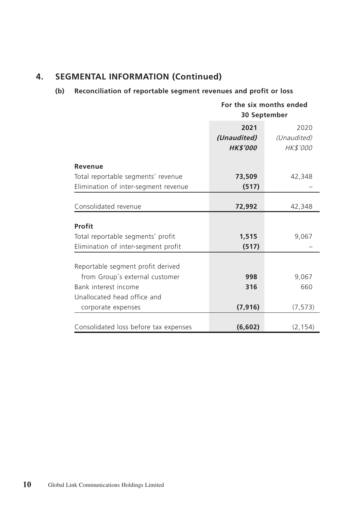# **4. SEGMENTAL INFORMATION (Continued)**

### **(b) Reconciliation of reportable segment revenues and profit or loss**

|                                       |                 | For the six months ended<br>30 September |
|---------------------------------------|-----------------|------------------------------------------|
|                                       | 2021            | 2020                                     |
|                                       | (Unaudited)     | (Unaudited)                              |
|                                       | <b>HK\$'000</b> | <b>HK\$'000</b>                          |
| Revenue                               |                 |                                          |
| Total reportable segments' revenue    | 73,509          | 42,348                                   |
| Elimination of inter-segment revenue  | (517)           |                                          |
| Consolidated revenue                  | 72,992          | 42,348                                   |
|                                       |                 |                                          |
| Profit                                |                 |                                          |
| Total reportable segments' profit     | 1,515           | 9,067                                    |
| Elimination of inter-segment profit   | (517)           |                                          |
|                                       |                 |                                          |
| Reportable segment profit derived     |                 |                                          |
| from Group's external customer        | 998             | 9,067                                    |
| Bank interest income                  | 316             | 660                                      |
| Unallocated head office and           |                 |                                          |
| corporate expenses                    | (7, 916)        | (7, 573)                                 |
|                                       |                 |                                          |
| Consolidated loss before tax expenses | (6,602)         | (2, 154)                                 |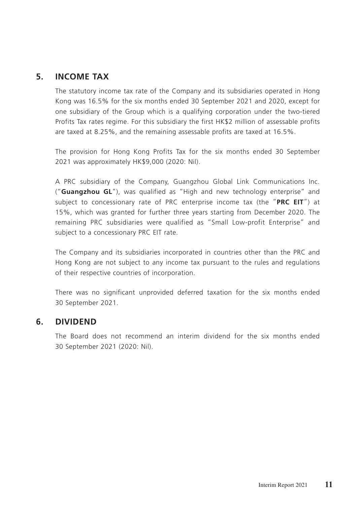### **5. INCOME TAX**

The statutory income tax rate of the Company and its subsidiaries operated in Hong Kong was 16.5% for the six months ended 30 September 2021 and 2020, except for one subsidiary of the Group which is a qualifying corporation under the two-tiered Profits Tax rates regime. For this subsidiary the first HK\$2 million of assessable profits are taxed at 8.25%, and the remaining assessable profits are taxed at 16.5%.

The provision for Hong Kong Profits Tax for the six months ended 30 September 2021 was approximately HK\$9,000 (2020: Nil).

A PRC subsidiary of the Company, Guangzhou Global Link Communications Inc. ("**Guangzhou GL**"), was qualified as "High and new technology enterprise" and subject to concessionary rate of PRC enterprise income tax (the "**PRC EIT**") at 15%, which was granted for further three years starting from December 2020. The remaining PRC subsidiaries were qualified as "Small Low-profit Enterprise" and subject to a concessionary PRC EIT rate.

The Company and its subsidiaries incorporated in countries other than the PRC and Hong Kong are not subject to any income tax pursuant to the rules and regulations of their respective countries of incorporation.

There was no significant unprovided deferred taxation for the six months ended 30 September 2021.

### **6. DIVIDEND**

The Board does not recommend an interim dividend for the six months ended 30 September 2021 (2020: Nil).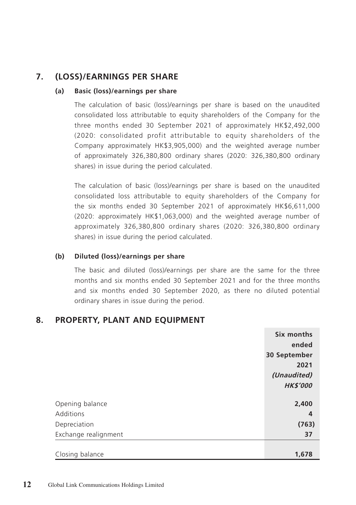# **7. (LOSS)/EARNINGS PER SHARE**

### **(a) Basic (loss)/earnings per share**

The calculation of basic (loss)/earnings per share is based on the unaudited consolidated loss attributable to equity shareholders of the Company for the three months ended 30 September 2021 of approximately HK\$2,492,000 (2020: consolidated profit attributable to equity shareholders of the Company approximately HK\$3,905,000) and the weighted average number of approximately 326,380,800 ordinary shares (2020: 326,380,800 ordinary shares) in issue during the period calculated.

The calculation of basic (loss)/earnings per share is based on the unaudited consolidated loss attributable to equity shareholders of the Company for the six months ended 30 September 2021 of approximately HK\$6,611,000 (2020: approximately HK\$1,063,000) and the weighted average number of approximately 326,380,800 ordinary shares (2020: 326,380,800 ordinary shares) in issue during the period calculated.

### **(b) Diluted (loss)/earnings per share**

The basic and diluted (loss)/earnings per share are the same for the three months and six months ended 30 September 2021 and for the three months and six months ended 30 September 2020, as there no diluted potential ordinary shares in issue during the period.

## **8. PROPERTY, PLANT AND EQUIPMENT**

|                      | Six months      |
|----------------------|-----------------|
|                      | ended           |
|                      | 30 September    |
|                      | 2021            |
|                      | (Unaudited)     |
|                      | <b>HK\$'000</b> |
|                      |                 |
| Opening balance      | 2,400           |
| Additions            | 4               |
| Depreciation         | (763)           |
| Exchange realignment | 37              |
|                      |                 |
| Closing balance      | 1,678           |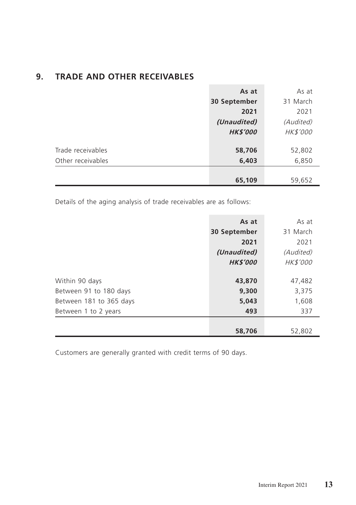| <b>TRADE AND OTHER RECEIVABLES</b> | 9. |  |  |  |  |
|------------------------------------|----|--|--|--|--|
|------------------------------------|----|--|--|--|--|

|                   | As at           | As at     |
|-------------------|-----------------|-----------|
|                   | 30 September    | 31 March  |
|                   | 2021            | 2021      |
|                   | (Unaudited)     | (Audited) |
|                   | <b>HK\$'000</b> | HK\$'000  |
|                   |                 |           |
| Trade receivables | 58,706          | 52,802    |
| Other receivables | 6,403           | 6,850     |
|                   |                 |           |
|                   | 65,109          | 59,652    |

Details of the aging analysis of trade receivables are as follows:

|                         | As at           | As at           |
|-------------------------|-----------------|-----------------|
|                         | 30 September    | 31 March        |
|                         | 2021            | 2021            |
|                         | (Unaudited)     | (Audited)       |
|                         | <b>HK\$'000</b> | <b>HK\$'000</b> |
|                         |                 |                 |
| Within 90 days          | 43,870          | 47,482          |
| Between 91 to 180 days  | 9,300           | 3,375           |
| Between 181 to 365 days | 5,043           | 1,608           |
| Between 1 to 2 years    | 493             | 337             |
|                         |                 |                 |
|                         | 58,706          | 52,802          |

Customers are generally granted with credit terms of 90 days.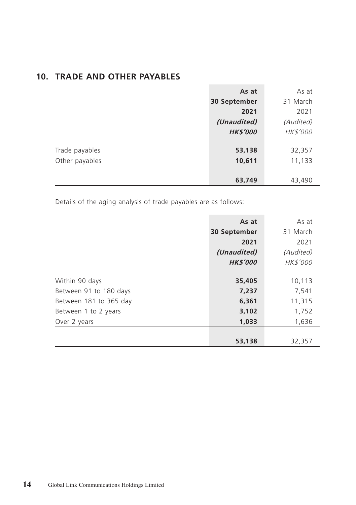|  |  |  |  |  | 10. TRADE AND OTHER PAYABLES |
|--|--|--|--|--|------------------------------|
|--|--|--|--|--|------------------------------|

|                | As at           | As at     |
|----------------|-----------------|-----------|
|                | 30 September    | 31 March  |
|                | 2021            | 2021      |
|                | (Unaudited)     | (Audited) |
|                | <b>HK\$'000</b> | HK\$'000  |
| Trade payables | 53,138          | 32,357    |
| Other payables | 10,611          | 11,133    |
|                |                 |           |
|                | 63,749          | 43,490    |

Details of the aging analysis of trade payables are as follows:

|                        | As at           | As at     |
|------------------------|-----------------|-----------|
|                        | 30 September    | 31 March  |
|                        | 2021            | 2021      |
|                        | (Unaudited)     | (Audited) |
|                        | <b>HK\$'000</b> | HK\$'000  |
|                        |                 |           |
| Within 90 days         | 35,405          | 10,113    |
| Between 91 to 180 days | 7,237           | 7,541     |
| Between 181 to 365 day | 6,361           | 11,315    |
| Between 1 to 2 years   | 3,102           | 1,752     |
| Over 2 years           | 1,033           | 1,636     |
|                        |                 |           |
|                        | 53,138          | 32,357    |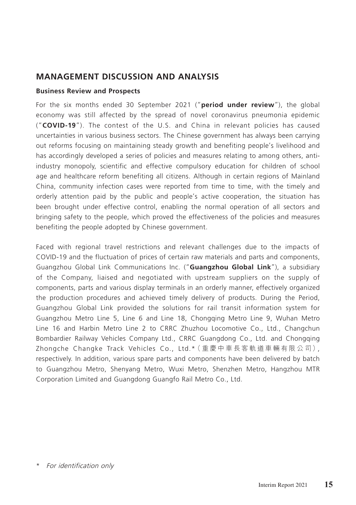## **MANAGEMENT DISCUSSION AND ANALYSIS**

### **Business Review and Prospects**

For the six months ended 30 September 2021 ("**period under review**"), the global economy was still affected by the spread of novel coronavirus pneumonia epidemic ("**COVID-19**"). The contest of the U.S. and China in relevant policies has caused uncertainties in various business sectors. The Chinese government has always been carrying out reforms focusing on maintaining steady growth and benefiting people's livelihood and has accordingly developed a series of policies and measures relating to among others, antiindustry monopoly, scientific and effective compulsory education for children of school age and healthcare reform benefiting all citizens. Although in certain regions of Mainland China, community infection cases were reported from time to time, with the timely and orderly attention paid by the public and people's active cooperation, the situation has been brought under effective control, enabling the normal operation of all sectors and bringing safety to the people, which proved the effectiveness of the policies and measures benefiting the people adopted by Chinese government.

Faced with regional travel restrictions and relevant challenges due to the impacts of COVID-19 and the fluctuation of prices of certain raw materials and parts and components, Guangzhou Global Link Communications Inc. ("**Guangzhou Global Link**"), a subsidiary of the Company, liaised and negotiated with upstream suppliers on the supply of components, parts and various display terminals in an orderly manner, effectively organized the production procedures and achieved timely delivery of products. During the Period, Guangzhou Global Link provided the solutions for rail transit information system for Guangzhou Metro Line 5, Line 6 and Line 18, Chongqing Metro Line 9, Wuhan Metro Line 16 and Harbin Metro Line 2 to CRRC Zhuzhou Locomotive Co., Ltd., Changchun Bombardier Railway Vehicles Company Ltd., CRRC Guangdong Co., Ltd. and Chongqing Zhongche Changke Track Vehicles Co., Ltd.\*(重慶中車長客軌道車輛有限公司), respectively. In addition, various spare parts and components have been delivered by batch to Guangzhou Metro, Shenyang Metro, Wuxi Metro, Shenzhen Metro, Hangzhou MTR Corporation Limited and Guangdong Guangfo Rail Metro Co., Ltd.

<sup>\*</sup> For identification only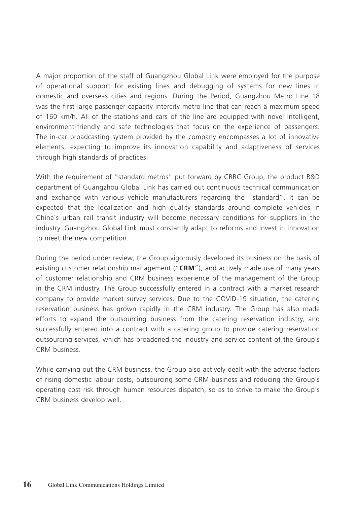A major proportion of the staff of Guangzhou Global Link were employed for the purpose of operational support for existing lines and debugging of systems for new lines in domestic and overseas cities and regions. During the Period, Guangzhou Metro Line 18 was the first large passenger capacity intercity metro line that can reach a maximum speed of 160 km/h. All of the stations and cars of the line are equipped with novel intelligent, environment-friendly and safe technologies that focus on the experience of passengers. The in-car broadcasting system provided by the company encompasses a lot of innovative elements, expecting to improve its innovation capability and adaptiveness of services through high standards of practices.

With the requirement of "standard metros" put forward by CRRC Group, the product R&D department of Guangzhou Global Link has carried out continuous technical communication and exchange with various vehicle manufacturers regarding the "standard". It can be expected that the localization and high quality standards around complete vehicles in China's urban rail transit industry will become necessary conditions for suppliers in the industry. Guangzhou Global Link must constantly adapt to reforms and invest in innovation to meet the new competition.

During the period under review, the Group vigorously developed its business on the basis of existing customer relationship management ("**CRM**"), and actively made use of many years of customer relationship and CRM business experience of the management of the Group in the CRM industry. The Group successfully entered in a contract with a market research company to provide market survey services. Due to the COVID-19 situation, the catering reservation business has grown rapidly in the CRM industry. The Group has also made efforts to expand the outsourcing business from the catering reservation industry, and successfully entered into a contract with a catering group to provide catering reservation outsourcing services, which has broadened the industry and service content of the Group's CRM business.

While carrying out the CRM business, the Group also actively dealt with the adverse factors of rising domestic labour costs, outsourcing some CRM business and reducing the Group's operating cost risk through human resources dispatch, so as to strive to make the Group's CRM business develop well.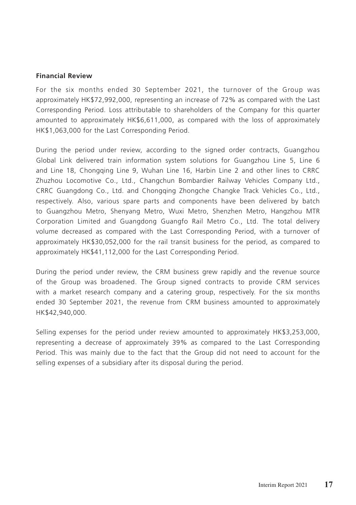#### **Financial Review**

For the six months ended 30 September 2021, the turnover of the Group was approximately HK\$72,992,000, representing an increase of 72% as compared with the Last Corresponding Period. Loss attributable to shareholders of the Company for this quarter amounted to approximately HK\$6,611,000, as compared with the loss of approximately HK\$1,063,000 for the Last Corresponding Period.

During the period under review, according to the signed order contracts, Guangzhou Global Link delivered train information system solutions for Guangzhou Line 5, Line 6 and Line 18, Chongqing Line 9, Wuhan Line 16, Harbin Line 2 and other lines to CRRC Zhuzhou Locomotive Co., Ltd., Changchun Bombardier Railway Vehicles Company Ltd., CRRC Guangdong Co., Ltd. and Chongqing Zhongche Changke Track Vehicles Co., Ltd., respectively. Also, various spare parts and components have been delivered by batch to Guangzhou Metro, Shenyang Metro, Wuxi Metro, Shenzhen Metro, Hangzhou MTR Corporation Limited and Guangdong Guangfo Rail Metro Co., Ltd. The total delivery volume decreased as compared with the Last Corresponding Period, with a turnover of approximately HK\$30,052,000 for the rail transit business for the period, as compared to approximately HK\$41,112,000 for the Last Corresponding Period.

During the period under review, the CRM business grew rapidly and the revenue source of the Group was broadened. The Group signed contracts to provide CRM services with a market research company and a catering group, respectively. For the six months ended 30 September 2021, the revenue from CRM business amounted to approximately HK\$42,940,000.

Selling expenses for the period under review amounted to approximately HK\$3,253,000, representing a decrease of approximately 39% as compared to the Last Corresponding Period. This was mainly due to the fact that the Group did not need to account for the selling expenses of a subsidiary after its disposal during the period.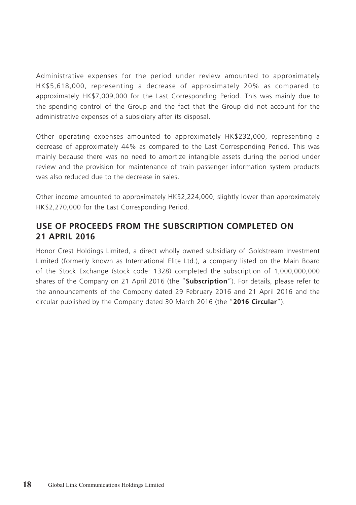Administrative expenses for the period under review amounted to approximately HK\$5,618,000, representing a decrease of approximately 20% as compared to approximately HK\$7,009,000 for the Last Corresponding Period. This was mainly due to the spending control of the Group and the fact that the Group did not account for the administrative expenses of a subsidiary after its disposal.

Other operating expenses amounted to approximately HK\$232,000, representing a decrease of approximately 44% as compared to the Last Corresponding Period. This was mainly because there was no need to amortize intangible assets during the period under review and the provision for maintenance of train passenger information system products was also reduced due to the decrease in sales.

Other income amounted to approximately HK\$2,224,000, slightly lower than approximately HK\$2,270,000 for the Last Corresponding Period.

### **USE OF PROCEEDS FROM THE SUBSCRIPTION COMPLETED ON 21 APRIL 2016**

Honor Crest Holdings Limited, a direct wholly owned subsidiary of Goldstream Investment Limited (formerly known as International Elite Ltd.), a company listed on the Main Board of the Stock Exchange (stock code: 1328) completed the subscription of 1,000,000,000 shares of the Company on 21 April 2016 (the "**Subscription**"). For details, please refer to the announcements of the Company dated 29 February 2016 and 21 April 2016 and the circular published by the Company dated 30 March 2016 (the "**2016 Circular**").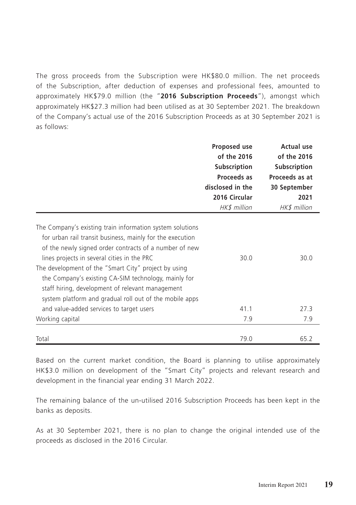The gross proceeds from the Subscription were HK\$80.0 million. The net proceeds of the Subscription, after deduction of expenses and professional fees, amounted to approximately HK\$79.0 million (the "**2016 Subscription Proceeds**"), amongst which approximately HK\$27.3 million had been utilised as at 30 September 2021. The breakdown of the Company's actual use of the 2016 Subscription Proceeds as at 30 September 2021 is as follows:

|                                                                                                                                                                                                                                                                                                                                                                                                                                                                | Proposed use<br>of the 2016<br>Subscription<br>Proceeds as<br>disclosed in the<br>2016 Circular<br>HK\$ million | <b>Actual use</b><br>of the 2016<br>Subscription<br>Proceeds as at<br>30 September<br>2021<br>HK\$ million |
|----------------------------------------------------------------------------------------------------------------------------------------------------------------------------------------------------------------------------------------------------------------------------------------------------------------------------------------------------------------------------------------------------------------------------------------------------------------|-----------------------------------------------------------------------------------------------------------------|------------------------------------------------------------------------------------------------------------|
| The Company's existing train information system solutions<br>for urban rail transit business, mainly for the execution<br>of the newly signed order contracts of a number of new<br>lines projects in several cities in the PRC<br>The development of the "Smart City" project by using<br>the Company's existing CA-SIM technology, mainly for<br>staff hiring, development of relevant management<br>system platform and gradual roll out of the mobile apps | 30.0                                                                                                            | 30.0                                                                                                       |
| and value-added services to target users                                                                                                                                                                                                                                                                                                                                                                                                                       | 41.1                                                                                                            | 27.3                                                                                                       |
| Working capital                                                                                                                                                                                                                                                                                                                                                                                                                                                | 7.9                                                                                                             | 7.9                                                                                                        |
| Total                                                                                                                                                                                                                                                                                                                                                                                                                                                          | 79.0                                                                                                            | 65.2                                                                                                       |

Based on the current market condition, the Board is planning to utilise approximately HK\$3.0 million on development of the "Smart City" projects and relevant research and development in the financial year ending 31 March 2022.

The remaining balance of the un-utilised 2016 Subscription Proceeds has been kept in the banks as deposits.

As at 30 September 2021, there is no plan to change the original intended use of the proceeds as disclosed in the 2016 Circular.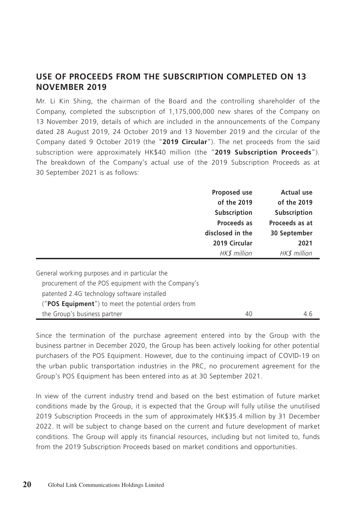### **USE OF PROCEEDS FROM THE SUBSCRIPTION COMPLETED ON 13 NOVEMBER 2019**

Mr. Li Kin Shing, the chairman of the Board and the controlling shareholder of the Company, completed the subscription of 1,175,000,000 new shares of the Company on 13 November 2019, details of which are included in the announcements of the Company dated 28 August 2019, 24 October 2019 and 13 November 2019 and the circular of the Company dated 9 October 2019 (the "**2019 Circular**"). The net proceeds from the said subscription were approximately HK\$40 million (the "**2019 Subscription Proceeds**"). The breakdown of the Company's actual use of the 2019 Subscription Proceeds as at 30 September 2021 is as follows:

|                                                              | Proposed use        | <b>Actual use</b> |
|--------------------------------------------------------------|---------------------|-------------------|
|                                                              | of the 2019         | of the 2019       |
|                                                              | <b>Subscription</b> | Subscription      |
|                                                              | Proceeds as         | Proceeds as at    |
|                                                              | disclosed in the    | 30 September      |
|                                                              | 2019 Circular       | 2021              |
|                                                              | HK\$ million        | HK\$ million      |
|                                                              |                     |                   |
| General working purposes and in particular the               |                     |                   |
| procurement of the POS equipment with the Company's          |                     |                   |
| patented 2.4G technology software installed                  |                     |                   |
| (" <b>POS Equipment</b> ") to meet the potential orders from |                     |                   |
| the Group's business partner                                 | 40                  | 4.6               |

Since the termination of the purchase agreement entered into by the Group with the business partner in December 2020, the Group has been actively looking for other potential purchasers of the POS Equipment. However, due to the continuing impact of COVID-19 on the urban public transportation industries in the PRC, no procurement agreement for the Group's POS Equipment has been entered into as at 30 September 2021.

In view of the current industry trend and based on the best estimation of future market conditions made by the Group, it is expected that the Group will fully utilise the unutilised 2019 Subscription Proceeds in the sum of approximately HK\$35.4 million by 31 December 2022. It will be subject to change based on the current and future development of market conditions. The Group will apply its financial resources, including but not limited to, funds from the 2019 Subscription Proceeds based on market conditions and opportunities.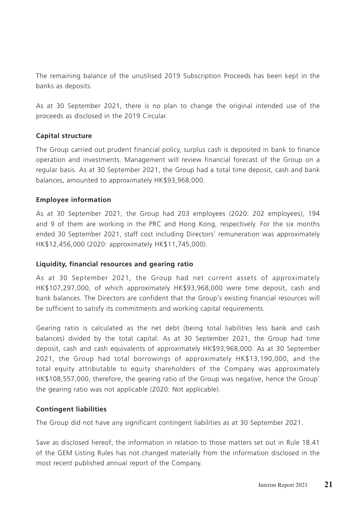The remaining balance of the unutilised 2019 Subscription Proceeds has been kept in the banks as deposits.

As at 30 September 2021, there is no plan to change the original intended use of the proceeds as disclosed in the 2019 Circular.

#### **Capital structure**

The Group carried out prudent financial policy, surplus cash is deposited in bank to finance operation and investments. Management will review financial forecast of the Group on a regular basis. As at 30 September 2021, the Group had a total time deposit, cash and bank balances, amounted to approximately HK\$93,968,000.

#### **Employee information**

As at 30 September 2021, the Group had 203 employees (2020: 202 employees), 194 and 9 of them are working in the PRC and Hong Kong, respectively. For the six months ended 30 September 2021, staff cost including Directors' remuneration was approximately HK\$12,456,000 (2020: approximately HK\$11,745,000).

#### **Liquidity, financial resources and gearing ratio**

As at 30 September 2021, the Group had net current assets of approximately HK\$107,297,000, of which approximately HK\$93,968,000 were time deposit, cash and bank balances. The Directors are confident that the Group's existing financial resources will be sufficient to satisfy its commitments and working capital requirements.

Gearing ratio is calculated as the net debt (being total liabilities less bank and cash balances) divided by the total capital. As at 30 September 2021, the Group had time deposit, cash and cash equivalents of approximately HK\$93,968,000. As at 30 September 2021, the Group had total borrowings of approximately HK\$13,190,000, and the total equity attributable to equity shareholders of the Company was approximately HK\$108,557,000, therefore, the gearing ratio of the Group was negative, hence the Group' the gearing ratio was not applicable (2020: Not applicable).

#### **Contingent liabilities**

The Group did not have any significant contingent liabilities as at 30 September 2021.

Save as disclosed hereof, the information in relation to those matters set out in Rule 18.41 of the GEM Listing Rules has not changed materially from the information disclosed in the most recent published annual report of the Company.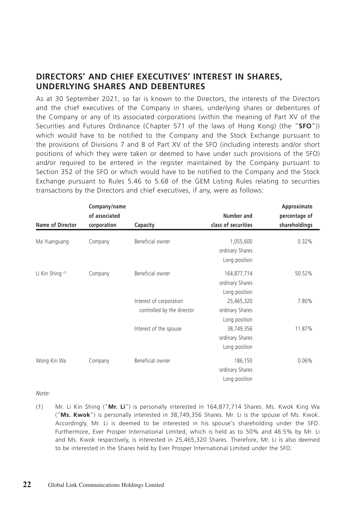### **DIRECTORS' AND CHIEF EXECUTIVES' INTEREST IN SHARES, UNDERLYING SHARES AND DEBENTURES**

As at 30 September 2021, so far is known to the Directors, the interests of the Directors and the chief executives of the Company in shares, underlying shares or debentures of the Company or any of its associated corporations (within the meaning of Part XV of the Securities and Futures Ordinance (Chapter 571 of the laws of Hong Kong) (the "**SFO**")) which would have to be notified to the Company and the Stock Exchange pursuant to the provisions of Divisions 7 and 8 of Part XV of the SFO (including interests and/or short positions of which they were taken or deemed to have under such provisions of the SFO) and/or required to be entered in the register maintained by the Company pursuant to Section 352 of the SFO or which would have to be notified to the Company and the Stock Exchange pursuant to Rules 5.46 to 5.68 of the GEM Listing Rules relating to securities transactions by the Directors and chief executives, if any, were as follows:

|                  | Company/name  |                            |                     | Approximate<br>percentage of |
|------------------|---------------|----------------------------|---------------------|------------------------------|
|                  | of associated |                            | Number and          |                              |
| Name of Director | corporation   | Capacity                   | class of securities | shareholdings                |
| Ma Yuanguang     | Company       | Beneficial owner           | 1,055,600           | 0.32%                        |
|                  |               |                            | ordinary Shares     |                              |
|                  |               |                            | Long position       |                              |
| Li Kin Shing (1) | Company       | Beneficial owner           | 164,877,714         | 50.52%                       |
|                  |               |                            | ordinary Shares     |                              |
|                  |               |                            | Long position       |                              |
|                  |               | Interest of corporation    | 25,465,320          | 7.80%                        |
|                  |               | controlled by the director | ordinary Shares     |                              |
|                  |               |                            | Long position       |                              |
|                  |               | Interest of the spouse     | 38,749,356          | 11.87%                       |
|                  |               |                            | ordinary Shares     |                              |
|                  |               |                            | Long position       |                              |
| Wong Kin Wa      | Company       | Beneficial owner           | 186,150             | 0.06%                        |
|                  |               |                            | ordinary Shares     |                              |
|                  |               |                            | Long position       |                              |

Note:

(1) Mr. Li Kin Shing ("**Mr. Li**") is personally interested in 164,877,714 Shares. Ms. Kwok King Wa ("**Ms. Kwok**") is personally interested in 38,749,356 Shares. Mr. Li is the spouse of Ms. Kwok. Accordingly, Mr. Li is deemed to be interested in his spouse's shareholding under the SFO. Furthermore, Ever Prosper International Limited, which is held as to 50% and 46.5% by Mr. Li and Ms. Kwok respectively, is interested in 25,465,320 Shares. Therefore, Mr. Li is also deemed to be interested in the Shares held by Ever Prosper International Limited under the SFO.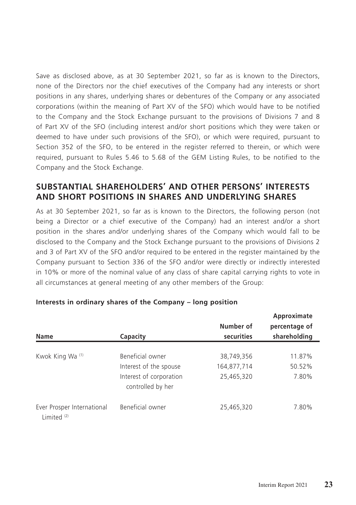Save as disclosed above, as at 30 September 2021, so far as is known to the Directors, none of the Directors nor the chief executives of the Company had any interests or short positions in any shares, underlying shares or debentures of the Company or any associated corporations (within the meaning of Part XV of the SFO) which would have to be notified to the Company and the Stock Exchange pursuant to the provisions of Divisions 7 and 8 of Part XV of the SFO (including interest and/or short positions which they were taken or deemed to have under such provisions of the SFO), or which were required, pursuant to Section 352 of the SFO, to be entered in the register referred to therein, or which were required, pursuant to Rules 5.46 to 5.68 of the GEM Listing Rules, to be notified to the Company and the Stock Exchange.

### **SUBSTANTIAL SHAREHOLDERS' AND OTHER PERSONS' INTERESTS AND SHORT POSITIONS IN SHARES AND UNDERLYING SHARES**

As at 30 September 2021, so far as is known to the Directors, the following person (not being a Director or a chief executive of the Company) had an interest and/or a short position in the shares and/or underlying shares of the Company which would fall to be disclosed to the Company and the Stock Exchange pursuant to the provisions of Divisions 2 and 3 of Part XV of the SFO and/or required to be entered in the register maintained by the Company pursuant to Section 336 of the SFO and/or were directly or indirectly interested in 10% or more of the nominal value of any class of share capital carrying rights to vote in all circumstances at general meeting of any other members of the Group:

| <b>Name</b>                                          | Capacity                                     | Number of<br>securities | Approximate<br>percentage of<br>shareholding |
|------------------------------------------------------|----------------------------------------------|-------------------------|----------------------------------------------|
| Kwok King Wa (1)                                     | Beneficial owner                             | 38,749,356              | 11.87%                                       |
|                                                      | Interest of the spouse                       | 164,877,714             | 50.52%                                       |
|                                                      | Interest of corporation<br>controlled by her | 25,465,320              | 7.80%                                        |
| Ever Prosper International<br>Limited <sup>(2)</sup> | Beneficial owner                             | 25,465,320              | 7.80%                                        |

#### **Interests in ordinary shares of the Company – long position**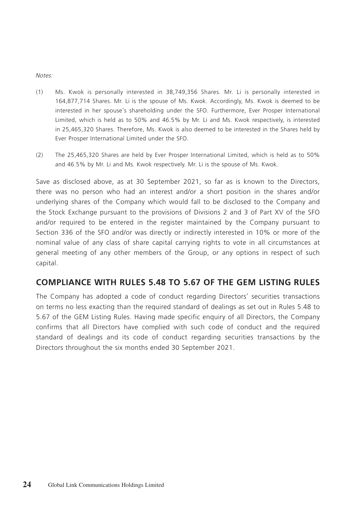Notes:

- (1) Ms. Kwok is personally interested in 38,749,356 Shares. Mr. Li is personally interested in 164,877,714 Shares. Mr. Li is the spouse of Ms. Kwok. Accordingly, Ms. Kwok is deemed to be interested in her spouse's shareholding under the SFO. Furthermore, Ever Prosper International Limited, which is held as to 50% and 46.5% by Mr. Li and Ms. Kwok respectively, is interested in 25,465,320 Shares. Therefore, Ms. Kwok is also deemed to be interested in the Shares held by Ever Prosper International Limited under the SFO.
- (2) The 25,465,320 Shares are held by Ever Prosper International Limited, which is held as to 50% and 46.5% by Mr. Li and Ms. Kwok respectively. Mr. Li is the spouse of Ms. Kwok.

Save as disclosed above, as at 30 September 2021, so far as is known to the Directors, there was no person who had an interest and/or a short position in the shares and/or underlying shares of the Company which would fall to be disclosed to the Company and the Stock Exchange pursuant to the provisions of Divisions 2 and 3 of Part XV of the SFO and/or required to be entered in the register maintained by the Company pursuant to Section 336 of the SFO and/or was directly or indirectly interested in 10% or more of the nominal value of any class of share capital carrying rights to vote in all circumstances at general meeting of any other members of the Group, or any options in respect of such capital.

### **COMPLIANCE WITH RULES 5.48 TO 5.67 OF THE GEM LISTING RULES**

The Company has adopted a code of conduct regarding Directors' securities transactions on terms no less exacting than the required standard of dealings as set out in Rules 5.48 to 5.67 of the GEM Listing Rules. Having made specific enquiry of all Directors, the Company confirms that all Directors have complied with such code of conduct and the required standard of dealings and its code of conduct regarding securities transactions by the Directors throughout the six months ended 30 September 2021.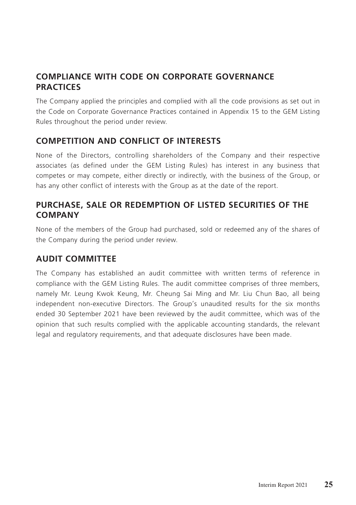# **COMPLIANCE WITH CODE ON CORPORATE GOVERNANCE PRACTICES**

The Company applied the principles and complied with all the code provisions as set out in the Code on Corporate Governance Practices contained in Appendix 15 to the GEM Listing Rules throughout the period under review.

## **COMPETITION AND CONFLICT OF INTERESTS**

None of the Directors, controlling shareholders of the Company and their respective associates (as defined under the GEM Listing Rules) has interest in any business that competes or may compete, either directly or indirectly, with the business of the Group, or has any other conflict of interests with the Group as at the date of the report.

### **PURCHASE, SALE OR REDEMPTION OF LISTED SECURITIES OF THE COMPANY**

None of the members of the Group had purchased, sold or redeemed any of the shares of the Company during the period under review.

## **AUDIT COMMITTEE**

The Company has established an audit committee with written terms of reference in compliance with the GEM Listing Rules. The audit committee comprises of three members, namely Mr. Leung Kwok Keung, Mr. Cheung Sai Ming and Mr. Liu Chun Bao, all being independent non-executive Directors. The Group's unaudited results for the six months ended 30 September 2021 have been reviewed by the audit committee, which was of the opinion that such results complied with the applicable accounting standards, the relevant legal and regulatory requirements, and that adequate disclosures have been made.